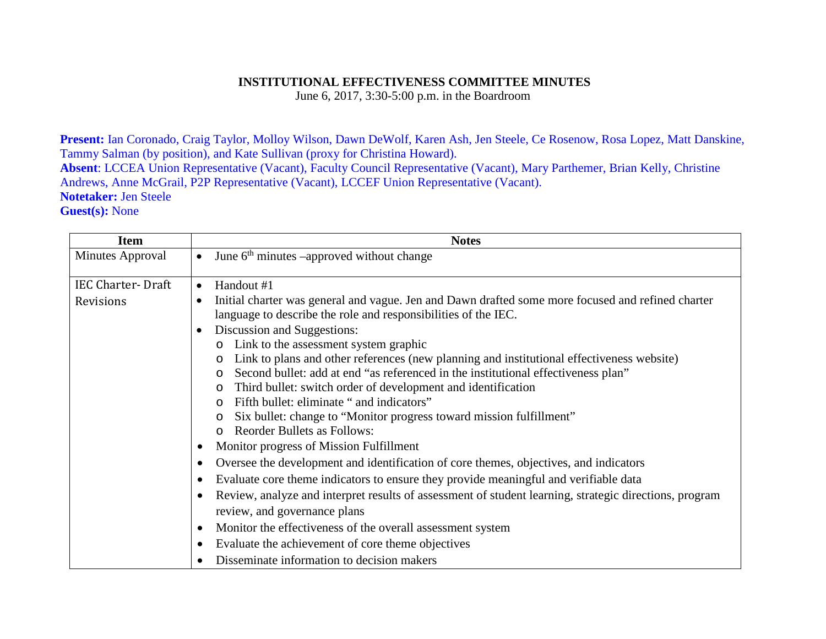## **INSTITUTIONAL EFFECTIVENESS COMMITTEE MINUTES**

June 6, 2017, 3:30-5:00 p.m. in the Boardroom

**Present:** Ian Coronado, Craig Taylor, Molloy Wilson, Dawn DeWolf, Karen Ash, Jen Steele, Ce Rosenow, Rosa Lopez, Matt Danskine, Tammy Salman (by position), and Kate Sullivan (proxy for Christina Howard).

**Absent**: LCCEA Union Representative (Vacant), Faculty Council Representative (Vacant), Mary Parthemer, Brian Kelly, Christine Andrews, Anne McGrail, P2P Representative (Vacant), LCCEF Union Representative (Vacant). **Notetaker:** Jen Steele

**Guest(s):** None

| <b>Item</b>              | <b>Notes</b>                                                                                                                                                                     |
|--------------------------|----------------------------------------------------------------------------------------------------------------------------------------------------------------------------------|
| Minutes Approval         | June 6 <sup>th</sup> minutes –approved without change<br>$\bullet$                                                                                                               |
| <b>IEC Charter-Draft</b> | Handout #1<br>$\bullet$                                                                                                                                                          |
| Revisions                | Initial charter was general and vague. Jen and Dawn drafted some more focused and refined charter<br>$\bullet$<br>language to describe the role and responsibilities of the IEC. |
|                          | Discussion and Suggestions:<br>$\bullet$                                                                                                                                         |
|                          | Link to the assessment system graphic                                                                                                                                            |
|                          | Link to plans and other references (new planning and institutional effectiveness website)<br>$\circ$                                                                             |
|                          | Second bullet: add at end "as referenced in the institutional effectiveness plan"<br>$\Omega$                                                                                    |
|                          | Third bullet: switch order of development and identification<br>$\circ$                                                                                                          |
|                          | Fifth bullet: eliminate " and indicators"                                                                                                                                        |
|                          | Six bullet: change to "Monitor progress toward mission fulfillment"<br>$\circ$                                                                                                   |
|                          | <b>Reorder Bullets as Follows:</b>                                                                                                                                               |
|                          | Monitor progress of Mission Fulfillment<br>$\bullet$                                                                                                                             |
|                          | Oversee the development and identification of core themes, objectives, and indicators                                                                                            |
|                          | Evaluate core theme indicators to ensure they provide meaningful and verifiable data<br>٠                                                                                        |
|                          | Review, analyze and interpret results of assessment of student learning, strategic directions, program<br>review, and governance plans                                           |
|                          | Monitor the effectiveness of the overall assessment system<br>$\bullet$                                                                                                          |
|                          | Evaluate the achievement of core theme objectives                                                                                                                                |
|                          | Disseminate information to decision makers                                                                                                                                       |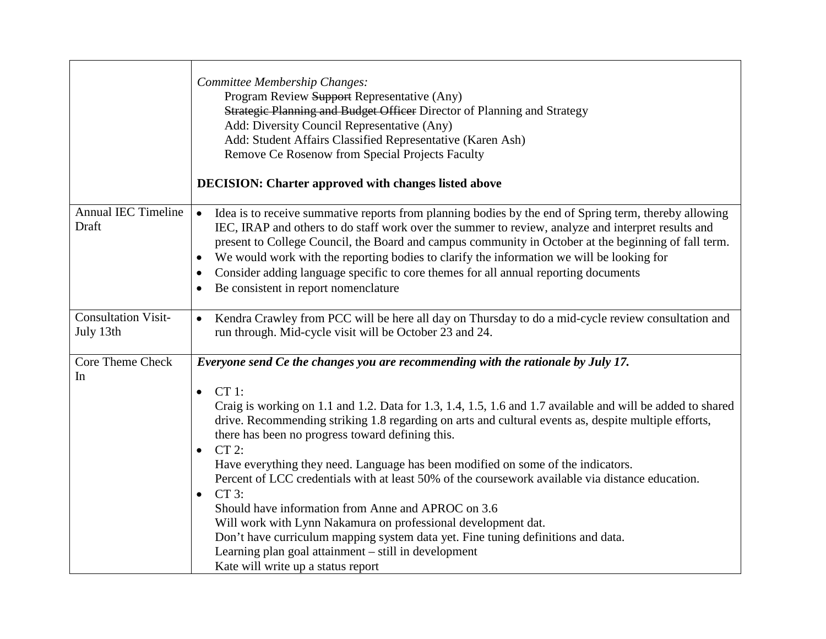|                                         | Committee Membership Changes:<br>Program Review Support Representative (Any)<br>Strategic Planning and Budget Officer Director of Planning and Strategy<br>Add: Diversity Council Representative (Any)<br>Add: Student Affairs Classified Representative (Karen Ash)<br>Remove Ce Rosenow from Special Projects Faculty<br><b>DECISION: Charter approved with changes listed above</b>                                                                                                                                                                                                                                                                                                                                                                                                                                                                                                                                   |
|-----------------------------------------|--------------------------------------------------------------------------------------------------------------------------------------------------------------------------------------------------------------------------------------------------------------------------------------------------------------------------------------------------------------------------------------------------------------------------------------------------------------------------------------------------------------------------------------------------------------------------------------------------------------------------------------------------------------------------------------------------------------------------------------------------------------------------------------------------------------------------------------------------------------------------------------------------------------------------|
| <b>Annual IEC Timeline</b><br>Draft     | Idea is to receive summative reports from planning bodies by the end of Spring term, thereby allowing<br>$\bullet$<br>IEC, IRAP and others to do staff work over the summer to review, analyze and interpret results and<br>present to College Council, the Board and campus community in October at the beginning of fall term.<br>We would work with the reporting bodies to clarify the information we will be looking for<br>Consider adding language specific to core themes for all annual reporting documents<br>$\bullet$<br>Be consistent in report nomenclature<br>$\bullet$                                                                                                                                                                                                                                                                                                                                   |
| <b>Consultation Visit-</b><br>July 13th | Kendra Crawley from PCC will be here all day on Thursday to do a mid-cycle review consultation and<br>$\bullet$<br>run through. Mid-cycle visit will be October 23 and 24.                                                                                                                                                                                                                                                                                                                                                                                                                                                                                                                                                                                                                                                                                                                                               |
| Core Theme Check<br>In                  | Everyone send Ce the changes you are recommending with the rationale by July 17.<br>$CT 1$ :<br>$\bullet$<br>Craig is working on 1.1 and 1.2. Data for 1.3, 1.4, 1.5, 1.6 and 1.7 available and will be added to shared<br>drive. Recommending striking 1.8 regarding on arts and cultural events as, despite multiple efforts,<br>there has been no progress toward defining this.<br>$CT 2$ :<br>Have everything they need. Language has been modified on some of the indicators.<br>Percent of LCC credentials with at least 50% of the coursework available via distance education.<br>$CT3$ :<br>$\bullet$<br>Should have information from Anne and APROC on 3.6<br>Will work with Lynn Nakamura on professional development dat.<br>Don't have curriculum mapping system data yet. Fine tuning definitions and data.<br>Learning plan goal attainment – still in development<br>Kate will write up a status report |